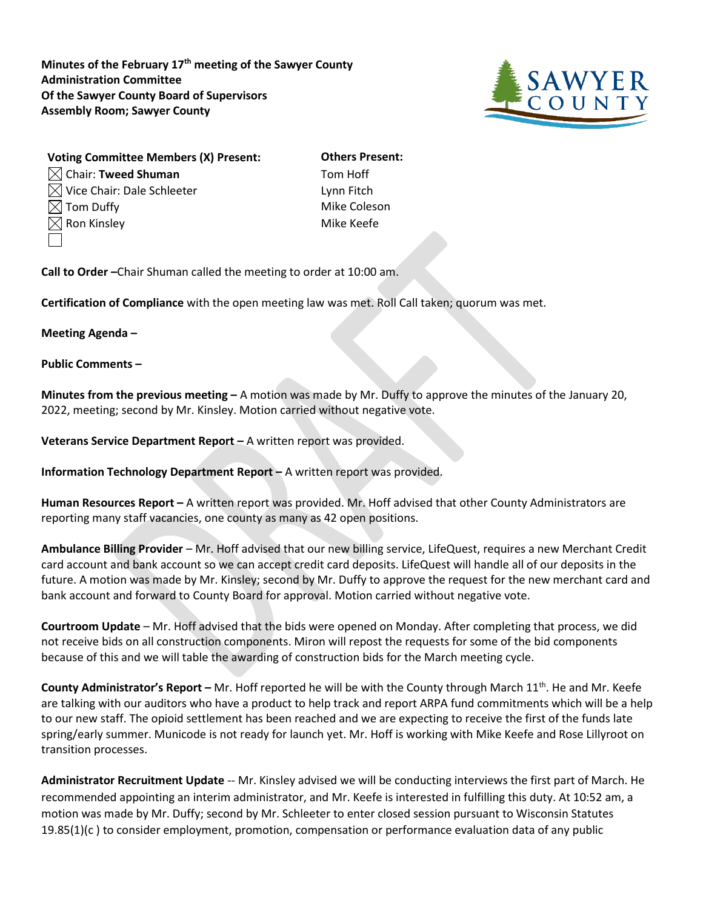**Minutes of the February 17th meeting of the Sawyer County Administration Committee Of the Sawyer County Board of Supervisors Assembly Room; Sawyer County**



| <b>Voting Committee Members (X) Present:</b> | <b>Others Present:</b> |
|----------------------------------------------|------------------------|
| $\boxtimes$ Chair: Tweed Shuman              | Tom Hoff               |
| $\boxtimes$ Vice Chair: Dale Schleeter       | Lynn Fitch             |
| $\boxtimes$ Tom Duffy                        | Mike Coleson           |
| $\boxtimes$ Ron Kinsley                      | Mike Keefe             |
|                                              |                        |

**Call to Order –**Chair Shuman called the meeting to order at 10:00 am.

**Certification of Compliance** with the open meeting law was met. Roll Call taken; quorum was met.

## **Meeting Agenda –**

**Public Comments –**

**Minutes from the previous meeting –** A motion was made by Mr. Duffy to approve the minutes of the January 20, 2022, meeting; second by Mr. Kinsley. Motion carried without negative vote.

**Veterans Service Department Report –** A written report was provided.

**Information Technology Department Report –** A written report was provided.

**Human Resources Report –** A written report was provided. Mr. Hoff advised that other County Administrators are reporting many staff vacancies, one county as many as 42 open positions.

**Ambulance Billing Provider** – Mr. Hoff advised that our new billing service, LifeQuest, requires a new Merchant Credit card account and bank account so we can accept credit card deposits. LifeQuest will handle all of our deposits in the future. A motion was made by Mr. Kinsley; second by Mr. Duffy to approve the request for the new merchant card and bank account and forward to County Board for approval. Motion carried without negative vote.

**Courtroom Update** – Mr. Hoff advised that the bids were opened on Monday. After completing that process, we did not receive bids on all construction components. Miron will repost the requests for some of the bid components because of this and we will table the awarding of construction bids for the March meeting cycle.

**County Administrator's Report –** Mr. Hoff reported he will be with the County through March 11<sup>th</sup>. He and Mr. Keefe are talking with our auditors who have a product to help track and report ARPA fund commitments which will be a help to our new staff. The opioid settlement has been reached and we are expecting to receive the first of the funds late spring/early summer. Municode is not ready for launch yet. Mr. Hoff is working with Mike Keefe and Rose Lillyroot on transition processes.

**Administrator Recruitment Update** -- Mr. Kinsley advised we will be conducting interviews the first part of March. He recommended appointing an interim administrator, and Mr. Keefe is interested in fulfilling this duty. At 10:52 am, a motion was made by Mr. Duffy; second by Mr. Schleeter to enter closed session pursuant to Wisconsin Statutes 19.85(1)(c ) to consider employment, promotion, compensation or performance evaluation data of any public